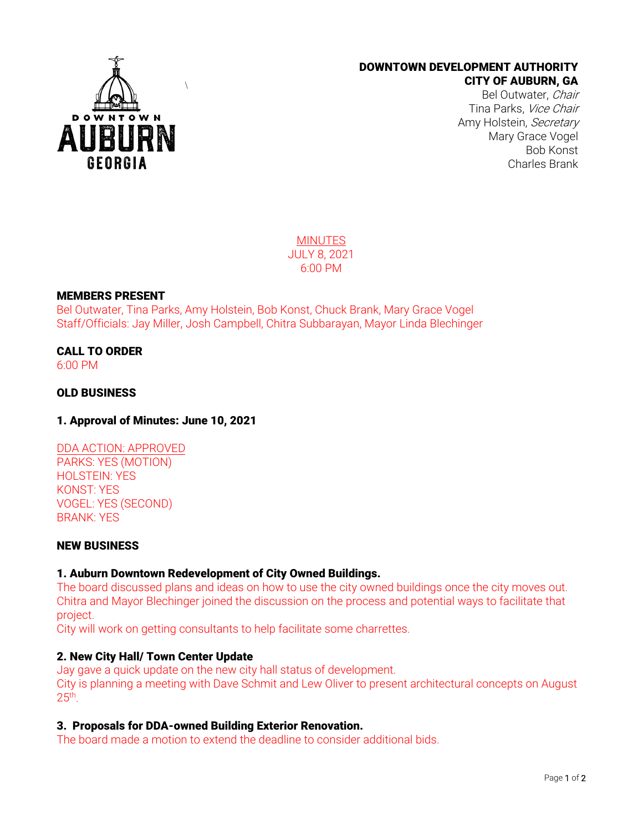

## DOWNTOWN DEVELOPMENT AUTHORITY CITY OF AUBURN, GA

Bel Outwater, Chair Tina Parks, Vice Chair Amy Holstein, Secretary Mary Grace Vogel Bob Konst Charles Brank

**MINUTES** JULY 8, 2021 6:00 PM

## MEMBERS PRESENT

Bel Outwater, Tina Parks, Amy Holstein, Bob Konst, Chuck Brank, Mary Grace Vogel Staff/Officials: Jay Miller, Josh Campbell, Chitra Subbarayan, Mayor Linda Blechinger

CALL TO ORDER 6:00 PM

# OLD BUSINESS

1. Approval of Minutes: June 10, 2021

# DDA ACTION: APPROVED

PARKS: YES (MOTION) HOLSTEIN: YES KONST: YES VOGEL: YES (SECOND) BRANK: YES

### NEW BUSINESS

#### 1. Auburn Downtown Redevelopment of City Owned Buildings.

The board discussed plans and ideas on how to use the city owned buildings once the city moves out. Chitra and Mayor Blechinger joined the discussion on the process and potential ways to facilitate that project.

City will work on getting consultants to help facilitate some charrettes.

#### 2. New City Hall/ Town Center Update

Jay gave a quick update on the new city hall status of development. City is planning a meeting with Dave Schmit and Lew Oliver to present architectural concepts on August  $25<sup>th</sup>$ .

# 3. Proposals for DDA-owned Building Exterior Renovation.

The board made a motion to extend the deadline to consider additional bids.